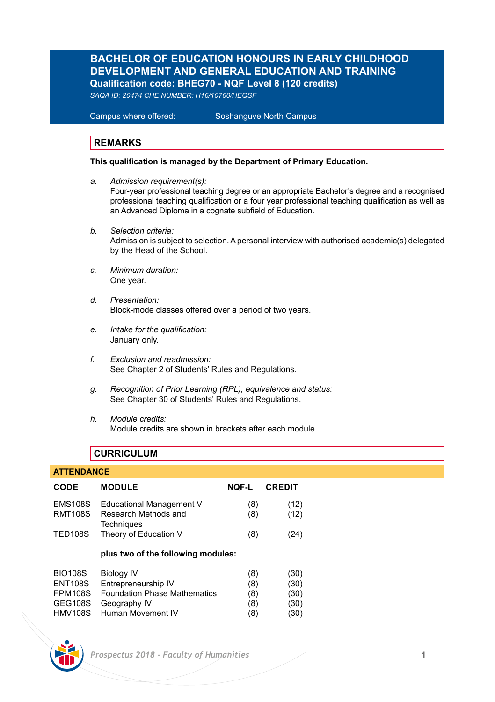### **BACHELOR OF EDUCATION HONOURS IN EARLY CHILDHOOD DEVELOPMENT AND GENERAL EDUCATION AND TRAINING Qualification code: BHEG70 - NQF Level 8 (120 credits)**

*SAQA ID: 20474 CHE NUMBER: H16/10760/HEQSF*

Campus where offered: Soshanguve North Campus

#### **REMARKS**

#### **This qualification is managed by the Department of Primary Education.**

- *a. Admission requirement(s):* Four-year professional teaching degree or an appropriate Bachelor's degree and a recognised professional teaching qualification or a four year professional teaching qualification as well as an Advanced Diploma in a cognate subfield of Education.
- *b. Selection criteria:* Admission is subject to selection. A personal interview with authorised academic(s) delegated by the Head of the School.
- *c. Minimum duration:* One year.
- *d. Presentation:*  Block-mode classes offered over a period of two years.
- *e. Intake for the qualification:* January only.
- *f. Exclusion and readmission:* See Chapter 2 of Students' Rules and Regulations.
- *g. Recognition of Prior Learning (RPL), equivalence and status:* See Chapter 30 of Students' Rules and Regulations.
- *h. Module credits:* Module credits are shown in brackets after each module.

### **CURRICULUM**

#### **ATTENDANCE**

| CODE           | <b>MODULE</b>                             | <b>NOF-L</b> | <b>CREDIT</b> |
|----------------|-------------------------------------------|--------------|---------------|
| <b>EMS108S</b> | Educational Management V                  | (8)          | (12)          |
| <b>RMT108S</b> | Research Methods and<br><b>Techniques</b> | (8)          | (12)          |
| <b>TED108S</b> | Theory of Education V                     | (8)          | (24)          |
|                | plus two of the following modules:        |              |               |
| <b>BIO108S</b> | <b>Biology IV</b>                         | (8)          | (30)          |
| <b>ENT108S</b> | Entrepreneurship IV                       | (8)          | (30)          |
| <b>FPM108S</b> | <b>Foundation Phase Mathematics</b>       | (8)          | (30)          |
| <b>GEG108S</b> | Geography IV                              | (8)          | (30)          |
| <b>HMV108S</b> | Human Movement IV                         | (8           | (30)          |

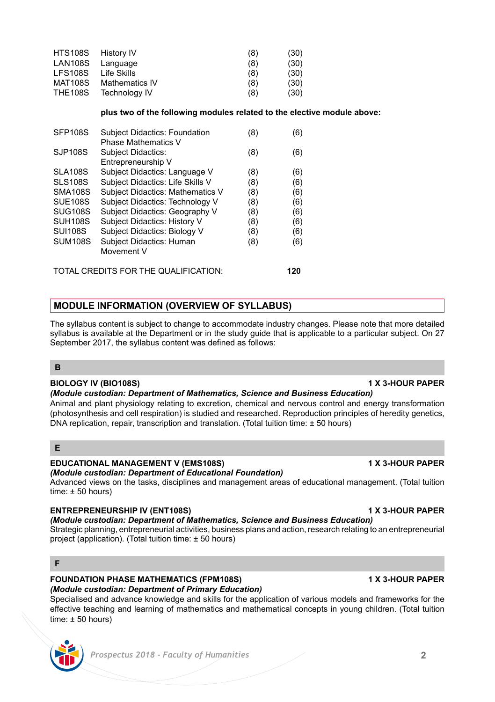#### **FOUNDATION PHASE MATHEMATICS (FPM108S) 4 X 3-HOUR PAPER** *(Module custodian: Department of Primary Education)*

Specialised and advance knowledge and skills for the application of various models and frameworks for the effective teaching and learning of mathematics and mathematical concepts in young children. (Total tuition time: ± 50 hours)

### **BIOLOGY IV (BIO108S) 1 X 3-HOUR PAPER**

*(Module custodian: Department of Mathematics, Science and Business Education)* 

Animal and plant physiology relating to excretion, chemical and nervous control and energy transformation (photosynthesis and cell respiration) is studied and researched. Reproduction principles of heredity genetics, DNA replication, repair, transcription and translation. (Total tuition time: ± 50 hours)

### **E**

**B**

**F**

### **EDUCATIONAL MANAGEMENT V (EMS108S) 1 X 3-HOUR PAPER**

### *(Module custodian: Department of Educational Foundation)*

Advanced views on the tasks, disciplines and management areas of educational management. (Total tuition  $time: +50 hours$ 

### **ENTREPRENEURSHIP IV (ENT108S) 1 X 3-HOUR PAPER**

### *(Module custodian: Department of Mathematics, Science and Business Education)*

Strategic planning, entrepreneurial activities, business plans and action, research relating to an entrepreneurial project (application). (Total tuition time: ± 50 hours)

# **MODULE INFORMATION (OVERVIEW OF SYLLABUS)**

The syllabus content is subject to change to accommodate industry changes. Please note that more detailed syllabus is available at the Department or in the study quide that is applicable to a particular subject. On 27 September 2017, the syllabus content was defined as follows:

## **plus two of the following modules related to the elective module above:**

| <b>SFP108S</b>                       | <b>Subject Didactics: Foundation</b> | (8) | (6) |
|--------------------------------------|--------------------------------------|-----|-----|
|                                      | <b>Phase Mathematics V</b>           |     |     |
| SJP108S                              | <b>Subject Didactics:</b>            | (8) | (6) |
|                                      | Entrepreneurship V                   |     |     |
| <b>SLA108S</b>                       | Subject Didactics: Language V        | (8) | (6) |
| <b>SLS108S</b>                       | Subject Didactics: Life Skills V     | (8) | (6) |
| <b>SMA108S</b>                       | Subject Didactics: Mathematics V     | (8) | (6) |
| <b>SUE108S</b>                       | Subject Didactics: Technology V      | (8) | (6) |
| <b>SUG108S</b>                       | Subject Didactics: Geography V       | (8) | (6) |
| <b>SUH108S</b>                       | Subject Didactics: History V         | (8) | (6) |
| <b>SUI108S</b>                       | Subject Didactics: Biology V         | (8) | (6) |
| <b>SUM108S</b>                       | <b>Subject Didactics: Human</b>      | (8) | (6) |
|                                      | Movement V                           |     |     |
| TOTAL CREDITS FOR THE QUALIFICATION: |                                      |     |     |

HTS108S History IV (8) (30)<br>
LAN108S Language (8) (30) LAN108S Language (8) (30)<br>LFS108S Life Skills (8) (30) (30) LFS108S Life Skills (8) (30)<br>MAT108S Mathematics IV (8) (30) MAT108S Mathematics IV (8) (30)<br>THE108S Technology IV (8) (30)

Technology IV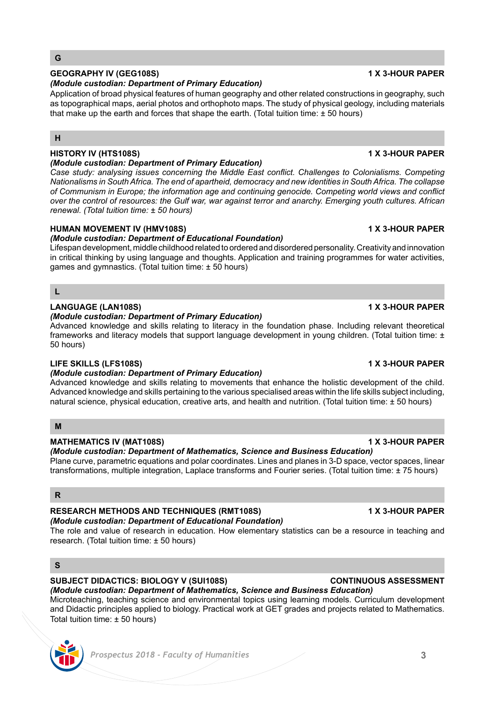#### **G**

### **GEOGRAPHY IV (GEG108S) 1 X 3-HOUR PAPER**

#### *(Module custodian: Department of Primary Education)*

Application of broad physical features of human geography and other related constructions in geography, such as topographical maps, aerial photos and orthophoto maps. The study of physical geology, including materials that make up the earth and forces that shape the earth. (Total tuition time: ± 50 hours)

#### **H**

#### **HISTORY IV (HTS108S) 1 X 3-HOUR PAPER**

#### *(Module custodian: Department of Primary Education)*

*Case study: analysing issues concerning the Middle East conflict. Challenges to Colonialisms. Competing Nationalisms in South Africa. The end of apartheid, democracy and new identities in South Africa. The collapse of Communism in Europe; the information age and continuing genocide. Competing world views and conflict over the control of resources: the Gulf war, war against terror and anarchy. Emerging youth cultures. African renewal. (Total tuition time: ± 50 hours)*

#### **HUMAN MOVEMENT IV (HMV108S) 1 X 3-HOUR PAPER**

#### *(Module custodian: Department of Educational Foundation)*

Lifespan development, middle childhood related to ordered and disordered personality. Creativity and innovation in critical thinking by using language and thoughts. Application and training programmes for water activities, games and gymnastics. (Total tuition time: ± 50 hours)

### **L**

#### **LANGUAGE (LAN108S) 1 X 3-HOUR PAPER**

#### *(Module custodian: Department of Primary Education)*

Advanced knowledge and skills relating to literacy in the foundation phase. Including relevant theoretical frameworks and literacy models that support language development in young children. (Total tuition time: ± 50 hours)

### **LIFE SKILLS (LFS108S) 1 X 3-HOUR PAPER**

#### *(Module custodian: Department of Primary Education)*

Advanced knowledge and skills relating to movements that enhance the holistic development of the child. Advanced knowledge and skills pertaining to the various specialised areas within the life skills subject including, natural science, physical education, creative arts, and health and nutrition. (Total tuition time: ± 50 hours)

#### **M**

### **MATHEMATICS IV (MAT108S) 1 X 3-HOUR PAPER**

*(Module custodian: Department of Mathematics, Science and Business Education)*  Plane curve, parametric equations and polar coordinates. Lines and planes in 3-D space, vector spaces, linear

transformations, multiple integration, Laplace transforms and Fourier series. (Total tuition time: ± 75 hours)

#### **R**

#### **RESEARCH METHODS AND TECHNIQUES (RMT108S) 1 X 3-HOUR PAPER** *(Module custodian: Department of Educational Foundation)*

The role and value of research in education. How elementary statistics can be a resource in teaching and research. (Total tuition time: ± 50 hours)

### **S**

#### **SUBJECT DIDACTICS: BIOLOGY V (SUI108S) CONTINUOUS ASSESSMENT**

*(Module custodian: Department of Mathematics, Science and Business Education)*  Microteaching, teaching science and environmental topics using learning models. Curriculum development and Didactic principles applied to biology. Practical work at GET grades and projects related to Mathematics. Total tuition time: ± 50 hours)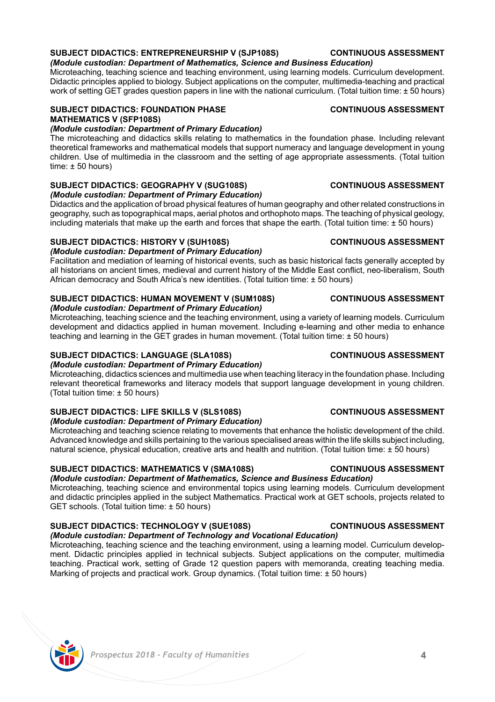#### **SUBJECT DIDACTICS: ENTREPRENEURSHIP V (SJP108S) CONTINUOUS ASSESSMENT** *(Module custodian: Department of Mathematics, Science and Business Education)*

Microteaching, teaching science and teaching environment, using learning models. Curriculum development. Didactic principles applied to biology. Subject applications on the computer, multimedia-teaching and practical work of setting GET grades question papers in line with the national curriculum. (Total tuition time: ± 50 hours)

#### **SUBJECT DIDACTICS: FOUNDATION PHASE CONTINUOUS ASSESSMENT MATHEMATICS V (SFP108S)**

#### *(Module custodian: Department of Primary Education)*

The microteaching and didactics skills relating to mathematics in the foundation phase. Including relevant theoretical frameworks and mathematical models that support numeracy and language development in young children. Use of multimedia in the classroom and the setting of age appropriate assessments. (Total tuition time: ± 50 hours)

### SUBJECT DIDACTICS: GEOGRAPHY V (SUG108S) **CONTINUOUS ASSESSMENT**

*(Module custodian: Department of Primary Education)* Didactics and the application of broad physical features of human geography and other related constructions in geography, such as topographical maps, aerial photos and orthophoto maps. The teaching of physical geology, including materials that make up the earth and forces that shape the earth. (Total tuition time: ± 50 hours)

#### **SUBJECT DIDACTICS: HISTORY V (SUH108S) CONTINUOUS ASSESSMENT**

#### *(Module custodian: Department of Primary Education)*

Facilitation and mediation of learning of historical events, such as basic historical facts generally accepted by all historians on ancient times, medieval and current history of the Middle East conflict, neo-liberalism, South African democracy and South Africa's new identities. (Total tuition time: ± 50 hours)

#### **SUBJECT DIDACTICS: HUMAN MOVEMENT V (SUM108S) CONTINUOUS ASSESSMENT** *(Module custodian: Department of Primary Education)*

Microteaching, teaching science and the teaching environment, using a variety of learning models. Curriculum development and didactics applied in human movement. Including e-learning and other media to enhance teaching and learning in the GET grades in human movement. (Total tuition time: ± 50 hours)

#### **SUBJECT DIDACTICS: LANGUAGE (SLA108S) CONTINUOUS ASSESSMENT**

*(Module custodian: Department of Primary Education)*

Microteaching, didactics sciences and multimedia use when teaching literacy in the foundation phase. Including relevant theoretical frameworks and literacy models that support language development in young children. (Total tuition time: ± 50 hours)

#### **SUBJECT DIDACTICS: LIFE SKILLS V (SLS108S) CONTINUOUS ASSESSMENT**

*(Module custodian: Department of Primary Education)*

Microteaching and teaching science relating to movements that enhance the holistic development of the child. Advanced knowledge and skills pertaining to the various specialised areas within the life skills subject including, natural science, physical education, creative arts and health and nutrition. (Total tuition time: ± 50 hours)

#### **SUBJECT DIDACTICS: MATHEMATICS V (SMA108S) CONTINUOUS ASSESSMENT**

*(Module custodian: Department of Mathematics, Science and Business Education)*  Microteaching, teaching science and environmental topics using learning models. Curriculum development and didactic principles applied in the subject Mathematics. Practical work at GET schools, projects related to GET schools. (Total tuition time: ± 50 hours)

### **SUBJECT DIDACTICS: TECHNOLOGY V (SUE108S) CONTINUOUS ASSESSMENT**

*(Module custodian: Department of Technology and Vocational Education)*  Microteaching, teaching science and the teaching environment, using a learning model. Curriculum development. Didactic principles applied in technical subjects. Subject applications on the computer, multimedia teaching. Practical work, setting of Grade 12 question papers with memoranda, creating teaching media. Marking of projects and practical work. Group dynamics. (Total tuition time: ± 50 hours)